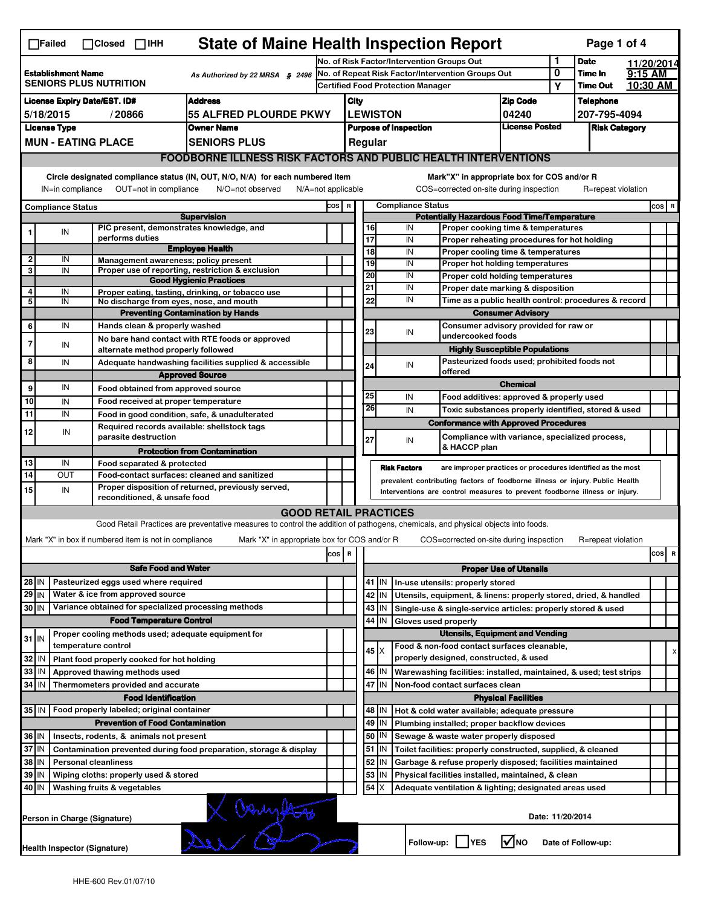| <b>State of Maine Health Inspection Report</b><br>Page 1 of 4<br>$\Box$ Failed<br>$\Box$ Closed $\Box$ IHH                                               |                                                  |  |                                                             |                                                                                                                                   |                                                   |                                                       |                                                                                                  |                                                                                                                  |                                                                        |          |                                                                                   |                          |                  |                    |         |          |
|----------------------------------------------------------------------------------------------------------------------------------------------------------|--------------------------------------------------|--|-------------------------------------------------------------|-----------------------------------------------------------------------------------------------------------------------------------|---------------------------------------------------|-------------------------------------------------------|--------------------------------------------------------------------------------------------------|------------------------------------------------------------------------------------------------------------------|------------------------------------------------------------------------|----------|-----------------------------------------------------------------------------------|--------------------------|------------------|--------------------|---------|----------|
|                                                                                                                                                          |                                                  |  |                                                             |                                                                                                                                   | No. of Risk Factor/Intervention Groups Out        |                                                       |                                                                                                  |                                                                                                                  |                                                                        |          | 1                                                                                 | <b>Date</b>              |                  | 11/20/2014         |         |          |
| <b>Establishment Name</b><br>As Authorized by 22 MRSA § 2496<br><b>SENIORS PLUS NUTRITION</b>                                                            |                                                  |  |                                                             |                                                                                                                                   | No. of Repeat Risk Factor/Intervention Groups Out |                                                       |                                                                                                  |                                                                                                                  |                                                                        |          |                                                                                   |                          | 0                | Time In            | 9:15 AM |          |
|                                                                                                                                                          |                                                  |  |                                                             |                                                                                                                                   |                                                   |                                                       | <b>Certified Food Protection Manager</b>                                                         |                                                                                                                  |                                                                        |          |                                                                                   |                          | Y                | <b>Time Out</b>    |         | 10:30 AM |
| <b>Address</b><br><b>License Expiry Date/EST. ID#</b>                                                                                                    |                                                  |  |                                                             |                                                                                                                                   |                                                   | City                                                  |                                                                                                  |                                                                                                                  |                                                                        |          |                                                                                   | <b>Zip Code</b>          |                  | <b>Telephone</b>   |         |          |
| 55 ALFRED PLOURDE PKWY<br>5/18/2015<br>/20866                                                                                                            |                                                  |  |                                                             |                                                                                                                                   |                                                   | <b>LEWISTON</b>                                       |                                                                                                  |                                                                                                                  |                                                                        | 04240    |                                                                                   | 207-795-4094             |                  |                    |         |          |
| <b>License Type</b><br><b>Owner Name</b>                                                                                                                 |                                                  |  |                                                             |                                                                                                                                   |                                                   | <b>License Posted</b><br><b>Purpose of Inspection</b> |                                                                                                  |                                                                                                                  |                                                                        |          | <b>Risk Category</b>                                                              |                          |                  |                    |         |          |
|                                                                                                                                                          | <b>MUN - EATING PLACE</b><br><b>SENIORS PLUS</b> |  |                                                             |                                                                                                                                   |                                                   |                                                       |                                                                                                  | Regular                                                                                                          |                                                                        |          |                                                                                   |                          |                  |                    |         |          |
|                                                                                                                                                          |                                                  |  |                                                             | <b>FOODBORNE ILLNESS RISK FACTORS AND PUBLIC HEALTH INTERVENTIONS</b>                                                             |                                                   |                                                       |                                                                                                  |                                                                                                                  |                                                                        |          |                                                                                   |                          |                  |                    |         |          |
|                                                                                                                                                          |                                                  |  |                                                             | Circle designated compliance status (IN, OUT, N/O, N/A) for each numbered item                                                    |                                                   |                                                       |                                                                                                  |                                                                                                                  |                                                                        |          | Mark"X" in appropriate box for COS and/or R                                       |                          |                  |                    |         |          |
| OUT=not in compliance<br>COS=corrected on-site during inspection<br>IN=in compliance<br>N/O=not observed<br>$N/A = not$ applicable<br>R=repeat violation |                                                  |  |                                                             |                                                                                                                                   |                                                   |                                                       |                                                                                                  |                                                                                                                  |                                                                        |          |                                                                                   |                          |                  |                    |         |          |
|                                                                                                                                                          | <b>Compliance Status</b>                         |  |                                                             |                                                                                                                                   |                                                   |                                                       |                                                                                                  | <b>Compliance Status</b><br>COS R                                                                                |                                                                        |          |                                                                                   |                          |                  |                    |         | $cos$ R  |
| <b>Supervision</b>                                                                                                                                       |                                                  |  |                                                             |                                                                                                                                   |                                                   |                                                       | <b>Potentially Hazardous Food Time/Temperature</b>                                               |                                                                                                                  |                                                                        |          |                                                                                   |                          |                  |                    |         |          |
|                                                                                                                                                          | IN                                               |  | PIC present, demonstrates knowledge, and<br>performs duties |                                                                                                                                   |                                                   |                                                       |                                                                                                  | 16<br>17                                                                                                         |                                                                        | IN       | Proper cooking time & temperatures                                                |                          |                  |                    |         |          |
|                                                                                                                                                          |                                                  |  |                                                             | <b>Employee Health</b>                                                                                                            |                                                   |                                                       |                                                                                                  | 18                                                                                                               |                                                                        | IN<br>IN | Proper reheating procedures for hot holding<br>Proper cooling time & temperatures |                          |                  |                    |         |          |
| 2                                                                                                                                                        | IN                                               |  | Management awareness; policy present                        |                                                                                                                                   |                                                   |                                                       |                                                                                                  | 19                                                                                                               |                                                                        | IN       | Proper hot holding temperatures                                                   |                          |                  |                    |         |          |
| 3                                                                                                                                                        | IN                                               |  |                                                             | Proper use of reporting, restriction & exclusion                                                                                  |                                                   |                                                       |                                                                                                  | 20                                                                                                               |                                                                        | IN       | Proper cold holding temperatures                                                  |                          |                  |                    |         |          |
|                                                                                                                                                          |                                                  |  |                                                             | <b>Good Hygienic Practices</b>                                                                                                    |                                                   |                                                       |                                                                                                  | 21                                                                                                               |                                                                        | IN       | Proper date marking & disposition                                                 |                          |                  |                    |         |          |
| 4<br>5                                                                                                                                                   | IN<br>IN                                         |  | No discharge from eyes, nose, and mouth                     | Proper eating, tasting, drinking, or tobacco use                                                                                  |                                                   |                                                       |                                                                                                  | 22                                                                                                               |                                                                        | IN       | Time as a public health control: procedures & record                              |                          |                  |                    |         |          |
|                                                                                                                                                          |                                                  |  |                                                             | <b>Preventing Contamination by Hands</b>                                                                                          |                                                   |                                                       |                                                                                                  |                                                                                                                  |                                                                        |          |                                                                                   | <b>Consumer Advisory</b> |                  |                    |         |          |
| 6                                                                                                                                                        | IN                                               |  | Hands clean & properly washed                               |                                                                                                                                   |                                                   |                                                       |                                                                                                  |                                                                                                                  |                                                                        |          | Consumer advisory provided for raw or                                             |                          |                  |                    |         |          |
|                                                                                                                                                          |                                                  |  |                                                             | No bare hand contact with RTE foods or approved                                                                                   |                                                   |                                                       |                                                                                                  | 23                                                                                                               |                                                                        | IN       | undercooked foods                                                                 |                          |                  |                    |         |          |
| 7                                                                                                                                                        | IN                                               |  | alternate method properly followed                          |                                                                                                                                   |                                                   |                                                       |                                                                                                  |                                                                                                                  |                                                                        |          | <b>Highly Susceptible Populations</b>                                             |                          |                  |                    |         |          |
| 8                                                                                                                                                        | IN                                               |  |                                                             | Adequate handwashing facilities supplied & accessible                                                                             |                                                   |                                                       |                                                                                                  | 24                                                                                                               |                                                                        | IN       | Pasteurized foods used; prohibited foods not                                      |                          |                  |                    |         |          |
|                                                                                                                                                          |                                                  |  |                                                             | <b>Approved Source</b>                                                                                                            |                                                   |                                                       |                                                                                                  |                                                                                                                  |                                                                        |          | offered                                                                           |                          |                  |                    |         |          |
| 9                                                                                                                                                        | IN                                               |  | Food obtained from approved source                          |                                                                                                                                   |                                                   |                                                       |                                                                                                  |                                                                                                                  |                                                                        |          |                                                                                   | <b>Chemical</b>          |                  |                    |         |          |
| 10                                                                                                                                                       | IN                                               |  | Food received at proper temperature                         |                                                                                                                                   |                                                   |                                                       |                                                                                                  | 25<br>26                                                                                                         |                                                                        | IN       | Food additives: approved & properly used                                          |                          |                  |                    |         |          |
| 11                                                                                                                                                       | IN                                               |  |                                                             | Food in good condition, safe, & unadulterated                                                                                     |                                                   |                                                       |                                                                                                  |                                                                                                                  |                                                                        | IN       | Toxic substances properly identified, stored & used                               |                          |                  |                    |         |          |
| 12                                                                                                                                                       | IN                                               |  | Required records available: shellstock tags                 |                                                                                                                                   |                                                   |                                                       |                                                                                                  |                                                                                                                  |                                                                        |          | <b>Conformance with Approved Procedures</b>                                       |                          |                  |                    |         |          |
|                                                                                                                                                          |                                                  |  | parasite destruction                                        |                                                                                                                                   |                                                   |                                                       |                                                                                                  | 27                                                                                                               |                                                                        | IN       | Compliance with variance, specialized process,<br>& HACCP plan                    |                          |                  |                    |         |          |
|                                                                                                                                                          |                                                  |  |                                                             | <b>Protection from Contamination</b>                                                                                              |                                                   |                                                       |                                                                                                  |                                                                                                                  |                                                                        |          |                                                                                   |                          |                  |                    |         |          |
| 13<br>$\overline{14}$                                                                                                                                    | IN<br>OUT                                        |  | Food separated & protected                                  |                                                                                                                                   |                                                   |                                                       |                                                                                                  |                                                                                                                  | <b>Risk Factors</b>                                                    |          | are improper practices or procedures identified as the most                       |                          |                  |                    |         |          |
|                                                                                                                                                          |                                                  |  |                                                             | Food-contact surfaces: cleaned and sanitized<br>Proper disposition of returned, previously served,                                |                                                   |                                                       | prevalent contributing factors of foodborne illness or injury. Public Health                     |                                                                                                                  |                                                                        |          |                                                                                   |                          |                  |                    |         |          |
| 15                                                                                                                                                       | IN                                               |  | reconditioned, & unsafe food                                |                                                                                                                                   |                                                   |                                                       | Interventions are control measures to prevent foodborne illness or injury.                       |                                                                                                                  |                                                                        |          |                                                                                   |                          |                  |                    |         |          |
|                                                                                                                                                          |                                                  |  |                                                             | <b>GOOD RETAIL PRACTICES</b>                                                                                                      |                                                   |                                                       |                                                                                                  |                                                                                                                  |                                                                        |          |                                                                                   |                          |                  |                    |         |          |
|                                                                                                                                                          |                                                  |  |                                                             | Good Retail Practices are preventative measures to control the addition of pathogens, chemicals, and physical objects into foods. |                                                   |                                                       |                                                                                                  |                                                                                                                  |                                                                        |          |                                                                                   |                          |                  |                    |         |          |
|                                                                                                                                                          |                                                  |  | Mark "X" in box if numbered item is not in compliance       | Mark "X" in appropriate box for COS and/or R                                                                                      |                                                   |                                                       |                                                                                                  |                                                                                                                  |                                                                        |          | COS=corrected on-site during inspection                                           |                          |                  | R=repeat violation |         |          |
|                                                                                                                                                          |                                                  |  |                                                             |                                                                                                                                   | cos                                               | R                                                     |                                                                                                  |                                                                                                                  |                                                                        |          |                                                                                   |                          |                  |                    |         | cos R    |
| <b>Safe Food and Water</b><br><b>Proper Use of Utensils</b>                                                                                              |                                                  |  |                                                             |                                                                                                                                   |                                                   |                                                       |                                                                                                  |                                                                                                                  |                                                                        |          |                                                                                   |                          |                  |                    |         |          |
|                                                                                                                                                          |                                                  |  |                                                             |                                                                                                                                   |                                                   |                                                       |                                                                                                  | $41$   IN                                                                                                        |                                                                        |          |                                                                                   |                          |                  |                    |         |          |
| Pasteurized eggs used where required<br>28 IN<br>Water & ice from approved source<br>29 IN                                                               |                                                  |  |                                                             |                                                                                                                                   |                                                   |                                                       |                                                                                                  | In-use utensils: properly stored<br>Utensils, equipment, & linens: properly stored, dried, & handled<br>42<br>IN |                                                                        |          |                                                                                   |                          |                  |                    |         |          |
|                                                                                                                                                          |                                                  |  | Variance obtained for specialized processing methods        |                                                                                                                                   |                                                   |                                                       |                                                                                                  | 43                                                                                                               | IN                                                                     |          |                                                                                   |                          |                  |                    |         |          |
| 30 IN<br><b>Food Temperature Control</b>                                                                                                                 |                                                  |  |                                                             |                                                                                                                                   |                                                   |                                                       | Single-use & single-service articles: properly stored & used<br>44<br>IN<br>Gloves used properly |                                                                                                                  |                                                                        |          |                                                                                   |                          |                  |                    |         |          |
|                                                                                                                                                          |                                                  |  | Proper cooling methods used; adequate equipment for         |                                                                                                                                   |                                                   |                                                       | <b>Utensils, Equipment and Vending</b>                                                           |                                                                                                                  |                                                                        |          |                                                                                   |                          |                  |                    |         |          |
| $31$ IN                                                                                                                                                  |                                                  |  | temperature control                                         |                                                                                                                                   |                                                   |                                                       |                                                                                                  |                                                                                                                  |                                                                        |          | Food & non-food contact surfaces cleanable,                                       |                          |                  |                    |         |          |
| 32                                                                                                                                                       | IN                                               |  | Plant food properly cooked for hot holding                  |                                                                                                                                   |                                                   |                                                       |                                                                                                  | $45 \times$                                                                                                      |                                                                        |          | properly designed, constructed, & used                                            |                          |                  |                    |         | X        |
| 33                                                                                                                                                       | IN                                               |  | Approved thawing methods used                               |                                                                                                                                   |                                                   |                                                       |                                                                                                  | 46                                                                                                               | IN                                                                     |          | Warewashing facilities: installed, maintained, & used; test strips                |                          |                  |                    |         |          |
| 34                                                                                                                                                       | l IN                                             |  | Thermometers provided and accurate                          |                                                                                                                                   |                                                   |                                                       |                                                                                                  | 47 IN                                                                                                            |                                                                        |          | Non-food contact surfaces clean                                                   |                          |                  |                    |         |          |
| <b>Food Identification</b><br><b>Physical Facilities</b>                                                                                                 |                                                  |  |                                                             |                                                                                                                                   |                                                   |                                                       |                                                                                                  |                                                                                                                  |                                                                        |          |                                                                                   |                          |                  |                    |         |          |
| 35   IN<br>Food properly labeled; original container<br>48   IN<br>Hot & cold water available; adequate pressure                                         |                                                  |  |                                                             |                                                                                                                                   |                                                   |                                                       |                                                                                                  |                                                                                                                  |                                                                        |          |                                                                                   |                          |                  |                    |         |          |
|                                                                                                                                                          |                                                  |  | <b>Prevention of Food Contamination</b>                     |                                                                                                                                   |                                                   |                                                       |                                                                                                  | 49                                                                                                               | IN                                                                     |          | Plumbing installed; proper backflow devices                                       |                          |                  |                    |         |          |
| 36 IN<br>Insects, rodents, & animals not present                                                                                                         |                                                  |  |                                                             |                                                                                                                                   |                                                   |                                                       |                                                                                                  | 50<br>IN<br>Sewage & waste water properly disposed                                                               |                                                                        |          |                                                                                   |                          |                  |                    |         |          |
| 37 IN<br>Contamination prevented during food preparation, storage & display                                                                              |                                                  |  |                                                             |                                                                                                                                   |                                                   |                                                       |                                                                                                  |                                                                                                                  | $51$ M<br>Toilet facilities: properly constructed, supplied, & cleaned |          |                                                                                   |                          |                  |                    |         |          |
| 38 IN<br><b>Personal cleanliness</b>                                                                                                                     |                                                  |  |                                                             |                                                                                                                                   |                                                   |                                                       |                                                                                                  | 52                                                                                                               | IN<br>Garbage & refuse properly disposed; facilities maintained        |          |                                                                                   |                          |                  |                    |         |          |
| 39 IN<br>Wiping cloths: properly used & stored                                                                                                           |                                                  |  |                                                             |                                                                                                                                   |                                                   |                                                       |                                                                                                  | 53<br>IN<br>Physical facilities installed, maintained, & clean                                                   |                                                                        |          |                                                                                   |                          |                  |                    |         |          |
| 54<br>40 IN<br>Washing fruits & vegetables<br>Х<br>Adequate ventilation & lighting; designated areas used                                                |                                                  |  |                                                             |                                                                                                                                   |                                                   |                                                       |                                                                                                  |                                                                                                                  |                                                                        |          |                                                                                   |                          |                  |                    |         |          |
|                                                                                                                                                          | Person in Charge (Signature)                     |  |                                                             | X Verylton                                                                                                                        |                                                   |                                                       |                                                                                                  |                                                                                                                  |                                                                        |          |                                                                                   |                          | Date: 11/20/2014 |                    |         |          |
|                                                                                                                                                          | Health Inspector (Signature)                     |  |                                                             |                                                                                                                                   |                                                   |                                                       |                                                                                                  |                                                                                                                  |                                                                        |          | Follow-up:     YES                                                                | ∣√мо                     |                  | Date of Follow-up: |         |          |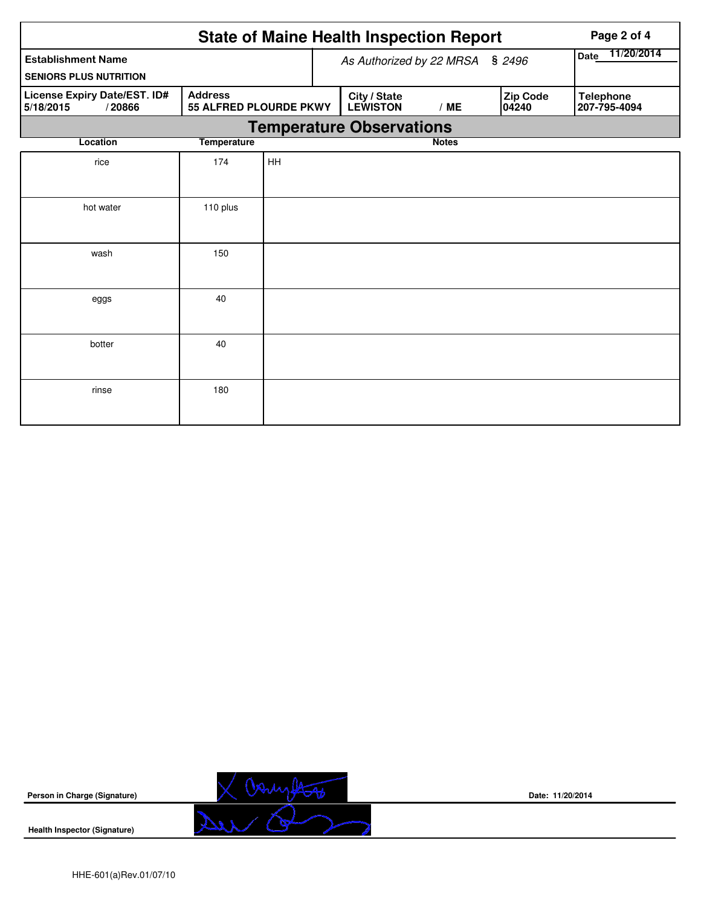|                                                                                                 | Page 2 of 4        |    |                                 |                                 |              |  |                   |                                  |  |  |
|-------------------------------------------------------------------------------------------------|--------------------|----|---------------------------------|---------------------------------|--------------|--|-------------------|----------------------------------|--|--|
| <b>Establishment Name</b><br><b>SENIORS PLUS NUTRITION</b>                                      |                    |    | As Authorized by 22 MRSA § 2496 | 11/20/2014<br><b>Date</b>       |              |  |                   |                                  |  |  |
| License Expiry Date/EST. ID#<br><b>Address</b><br>55 ALFRED PLOURDE PKWY<br>5/18/2015<br>/20866 |                    |    |                                 | City / State<br><b>LEWISTON</b> | /ME          |  | Zip Code<br>04240 | <b>Telephone</b><br>207-795-4094 |  |  |
| <b>Temperature Observations</b>                                                                 |                    |    |                                 |                                 |              |  |                   |                                  |  |  |
| Location                                                                                        | <b>Temperature</b> |    |                                 |                                 | <b>Notes</b> |  |                   |                                  |  |  |
| rice                                                                                            | 174                | HH |                                 |                                 |              |  |                   |                                  |  |  |
| hot water                                                                                       | 110 plus           |    |                                 |                                 |              |  |                   |                                  |  |  |
| wash                                                                                            | 150                |    |                                 |                                 |              |  |                   |                                  |  |  |
| eggs                                                                                            | 40                 |    |                                 |                                 |              |  |                   |                                  |  |  |
| botter                                                                                          | 40                 |    |                                 |                                 |              |  |                   |                                  |  |  |
| rinse                                                                                           | 180                |    |                                 |                                 |              |  |                   |                                  |  |  |



**Date: 11/20/2014**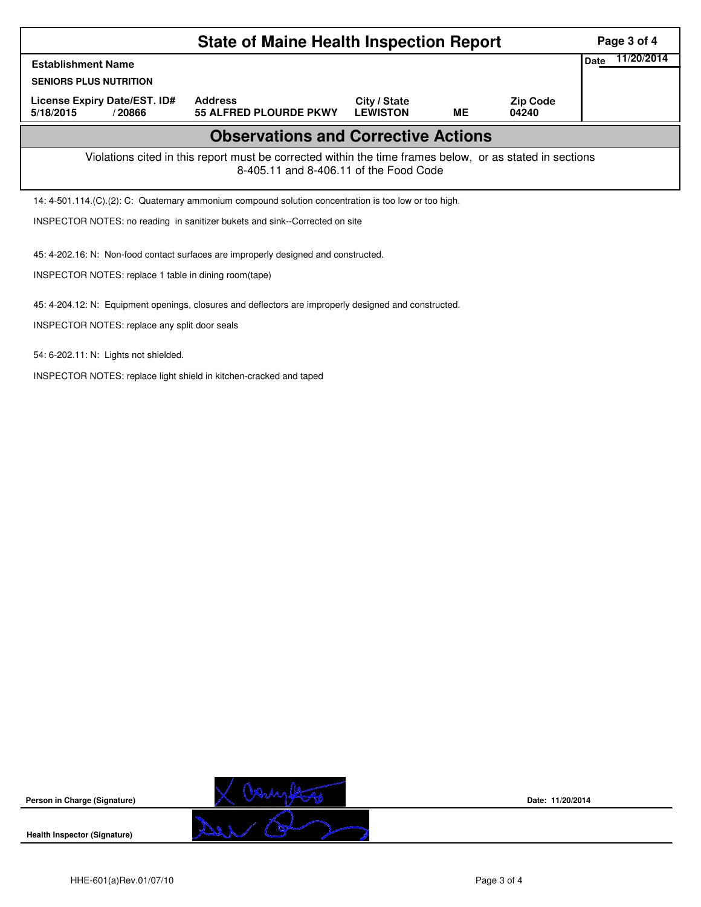|                                                                                                                                                    | Page 3 of 4                                                                                                          |  |  |  |  |  |  |  |  |  |
|----------------------------------------------------------------------------------------------------------------------------------------------------|----------------------------------------------------------------------------------------------------------------------|--|--|--|--|--|--|--|--|--|
| <b>Establishment Name</b>                                                                                                                          | 11/20/2014<br><b>Date</b>                                                                                            |  |  |  |  |  |  |  |  |  |
| <b>SENIORS PLUS NUTRITION</b>                                                                                                                      |                                                                                                                      |  |  |  |  |  |  |  |  |  |
| License Expiry Date/EST. ID#<br>5/18/2015<br>/20866                                                                                                | <b>Address</b><br><b>Zip Code</b><br>City / State<br><b>LEWISTON</b><br>ME<br><b>55 ALFRED PLOURDE PKWY</b><br>04240 |  |  |  |  |  |  |  |  |  |
| <b>Observations and Corrective Actions</b>                                                                                                         |                                                                                                                      |  |  |  |  |  |  |  |  |  |
| Violations cited in this report must be corrected within the time frames below, or as stated in sections<br>8-405.11 and 8-406.11 of the Food Code |                                                                                                                      |  |  |  |  |  |  |  |  |  |
| 14: 4-501.114. (C). (2): C: Quaternary ammonium compound solution concentration is too low or too high.                                            |                                                                                                                      |  |  |  |  |  |  |  |  |  |
| INSPECTOR NOTES: no reading in sanitizer bukets and sink--Corrected on site                                                                        |                                                                                                                      |  |  |  |  |  |  |  |  |  |
| 45: 4-202.16: N: Non-food contact surfaces are improperly designed and constructed.                                                                |                                                                                                                      |  |  |  |  |  |  |  |  |  |
| INSPECTOR NOTES: replace 1 table in dining room(tape)                                                                                              |                                                                                                                      |  |  |  |  |  |  |  |  |  |
| 45: 4-204.12: N: Equipment openings, closures and deflectors are improperly designed and constructed.                                              |                                                                                                                      |  |  |  |  |  |  |  |  |  |

INSPECTOR NOTES: replace any split door seals

54: 6-202.11: N: Lights not shielded.

INSPECTOR NOTES: replace light shield in kitchen-cracked and taped